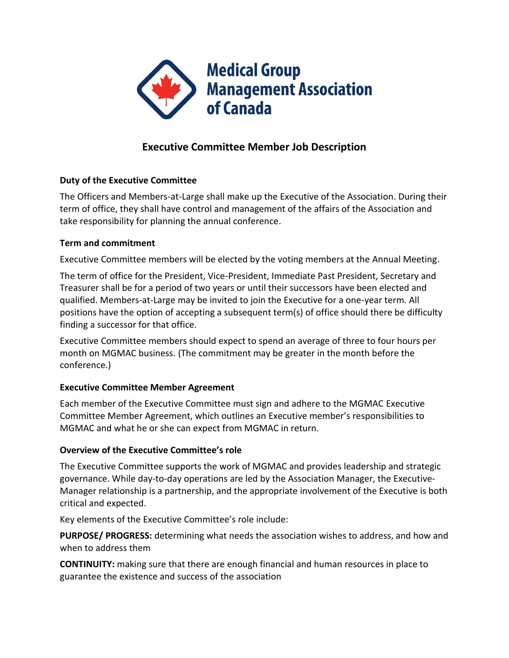

# **Executive Committee Member Job Description**

# **Duty of the Executive Committee**

The Officers and Members-at-Large shall make up the Executive of the Association. During their term of office, they shall have control and management of the affairs of the Association and take responsibility for planning the annual conference.

# **Term and commitment**

Executive Committee members will be elected by the voting members at the Annual Meeting.

The term of office for the President, Vice-President, Immediate Past President, Secretary and Treasurer shall be for a period of two years or until their successors have been elected and qualified. Members-at-Large may be invited to join the Executive for a one-year term. All positions have the option of accepting a subsequent term(s) of office should there be difficulty finding a successor for that office.

Executive Committee members should expect to spend an average of three to four hours per month on MGMAC business. (The commitment may be greater in the month before the conference.)

# **Executive Committee Member Agreement**

Each member of the Executive Committee must sign and adhere to the MGMAC Executive Committee Member Agreement, which outlines an Executive member's responsibilities to MGMAC and what he or she can expect from MGMAC in return.

# **Overview of the Executive Committee's role**

The Executive Committee supports the work of MGMAC and provides leadership and strategic governance. While day-to-day operations are led by the Association Manager, the Executive-Manager relationship is a partnership, and the appropriate involvement of the Executive is both critical and expected.

Key elements of the Executive Committee's role include:

**PURPOSE/ PROGRESS:** determining what needs the association wishes to address, and how and when to address them

**CONTINUITY:** making sure that there are enough financial and human resources in place to guarantee the existence and success of the association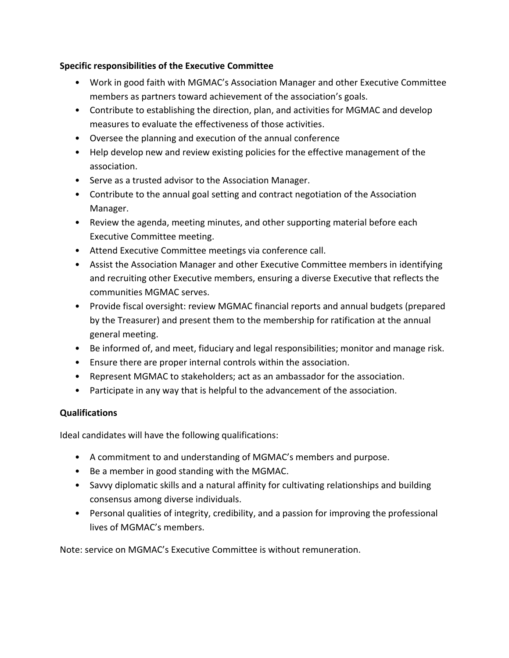### **Specific responsibilities of the Executive Committee**

- Work in good faith with MGMAC's Association Manager and other Executive Committee members as partners toward achievement of the association's goals.
- Contribute to establishing the direction, plan, and activities for MGMAC and develop measures to evaluate the effectiveness of those activities.
- Oversee the planning and execution of the annual conference
- Help develop new and review existing policies for the effective management of the association.
- Serve as a trusted advisor to the Association Manager.
- Contribute to the annual goal setting and contract negotiation of the Association Manager.
- Review the agenda, meeting minutes, and other supporting material before each Executive Committee meeting.
- Attend Executive Committee meetings via conference call.
- Assist the Association Manager and other Executive Committee members in identifying and recruiting other Executive members, ensuring a diverse Executive that reflects the communities MGMAC serves.
- Provide fiscal oversight: review MGMAC financial reports and annual budgets (prepared by the Treasurer) and present them to the membership for ratification at the annual general meeting.
- Be informed of, and meet, fiduciary and legal responsibilities; monitor and manage risk.
- Ensure there are proper internal controls within the association.
- Represent MGMAC to stakeholders; act as an ambassador for the association.
- Participate in any way that is helpful to the advancement of the association.

# **Qualifications**

Ideal candidates will have the following qualifications:

- A commitment to and understanding of MGMAC's members and purpose.
- Be a member in good standing with the MGMAC.
- Savvy diplomatic skills and a natural affinity for cultivating relationships and building consensus among diverse individuals.
- Personal qualities of integrity, credibility, and a passion for improving the professional lives of MGMAC's members.

Note: service on MGMAC's Executive Committee is without remuneration.